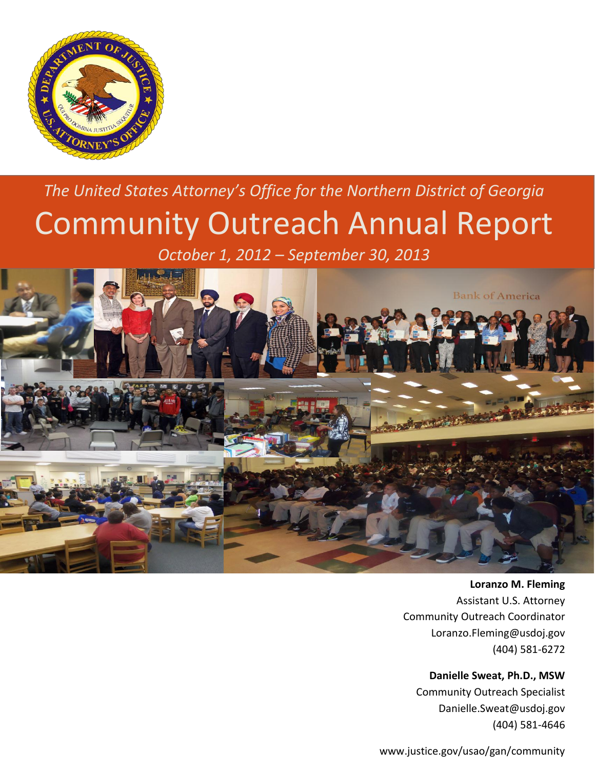

# *The United States Attorney's Office for the Northern District of Georgia* Community Outreach Annual Report

*October 1, 2012 – September 30, 2013*



**Loranzo M. Fleming**  Assistant U.S. Attorney Community Outreach Coordinator Loranzo.Fleming@usdoj.gov (404) 581-6272

**Danielle Sweat, Ph.D., MSW** Community Outreach Specialist

Danielle.Sweat@usdoj.gov (404) 581-4646

www.justice.gov/usao/gan/community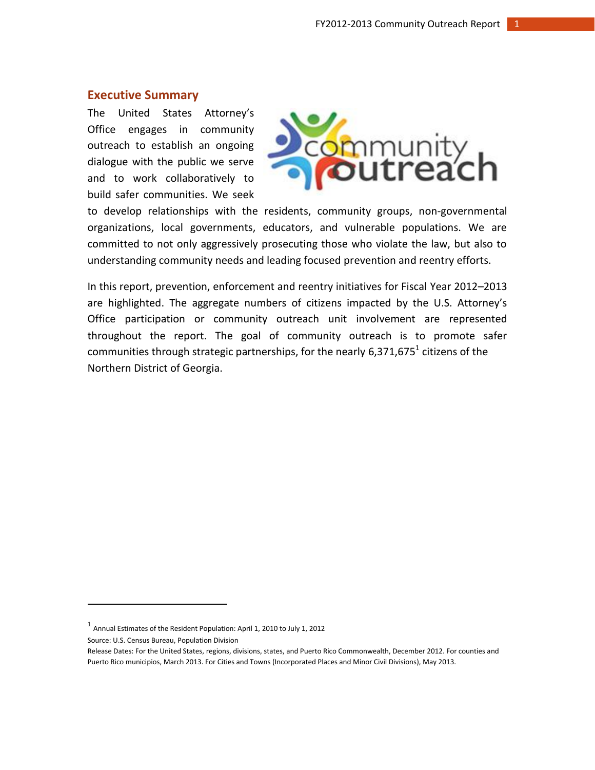# <span id="page-1-0"></span>**Executive Summary**

The United States Attorney's Office engages in community outreach to establish an ongoing dialogue with the public we serve and to work collaboratively to build safer communities. We seek



to develop relationships with the residents, community groups, non-governmental organizations, local governments, educators, and vulnerable populations. We are committed to not only aggressively prosecuting those who violate the law, but also to understanding community needs and leading focused prevention and reentry efforts.

In this report, prevention, enforcement and reentry initiatives for Fiscal Year 2012–2013 are highlighted. The aggregate numbers of citizens impacted by the U.S. Attorney's Office participation or community outreach unit involvement are represented throughout the report. The goal of community outreach is to promote safer communities through strategic partnerships, for the nearly 6,371,675<sup>1</sup> citizens of the Northern District of Georgia.

Source: U.S. Census Bureau, Population Division

 $\overline{\phantom{a}}$ 

 $^1$  Annual Estimates of the Resident Population: April 1, 2010 to July 1, 2012

Release Dates: For the United States, regions, divisions, states, and Puerto Rico Commonwealth, December 2012. For counties and Puerto Rico municipios, March 2013. For Cities and Towns (Incorporated Places and Minor Civil Divisions), May 2013.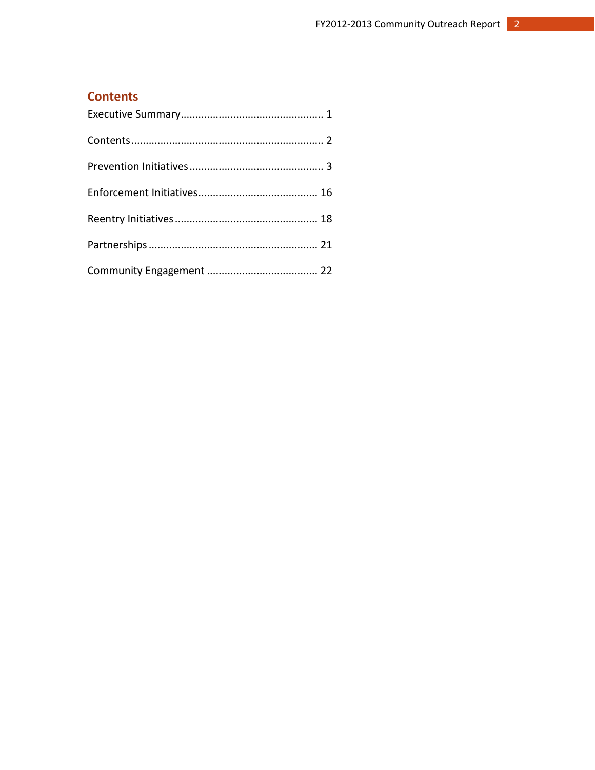# <span id="page-2-0"></span>**Contents**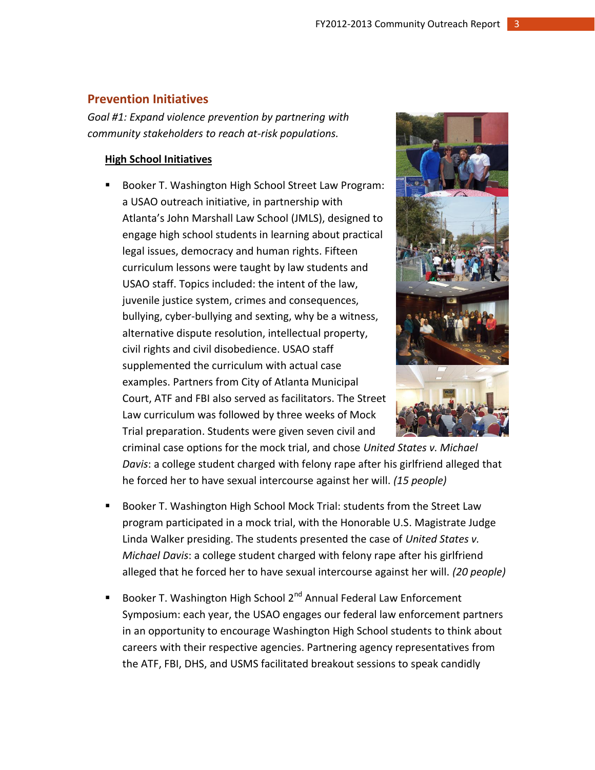# **Prevention Initiatives**

*Goal #1: Expand violence prevention by partnering with community stakeholders to reach at-risk populations.*

## **High School Initiatives**

■ Booker T. Washington High School Street Law Program: a USAO outreach initiative, in partnership with Atlanta's John Marshall Law School (JMLS), designed to engage high school students in learning about practical legal issues, democracy and human rights. Fifteen curriculum lessons were taught by law students and USAO staff. Topics included: the intent of the law, juvenile justice system, crimes and consequences, bullying, cyber-bullying and sexting, why be a witness, alternative dispute resolution, intellectual property, civil rights and civil disobedience. USAO staff supplemented the curriculum with actual case examples. Partners from City of Atlanta Municipal Court, ATF and FBI also served as facilitators. The Street Law curriculum was followed by three weeks of Mock Trial preparation. Students were given seven civil and



criminal case options for the mock trial, and chose *United States v. Michael Davis*: a college student charged with felony rape after his girlfriend alleged that he forced her to have sexual intercourse against her will. *(15 people)*

- Booker T. Washington High School Mock Trial: students from the Street Law program participated in a mock trial, with the Honorable U.S. Magistrate Judge Linda Walker presiding. The students presented the case of *United States v. Michael Davis*: a college student charged with felony rape after his girlfriend alleged that he forced her to have sexual intercourse against her will. *(20 people)*
- Booker T. Washington High School  $2^{nd}$  Annual Federal Law Enforcement Symposium: each year, the USAO engages our federal law enforcement partners in an opportunity to encourage Washington High School students to think about careers with their respective agencies. Partnering agency representatives from the ATF, FBI, DHS, and USMS facilitated breakout sessions to speak candidly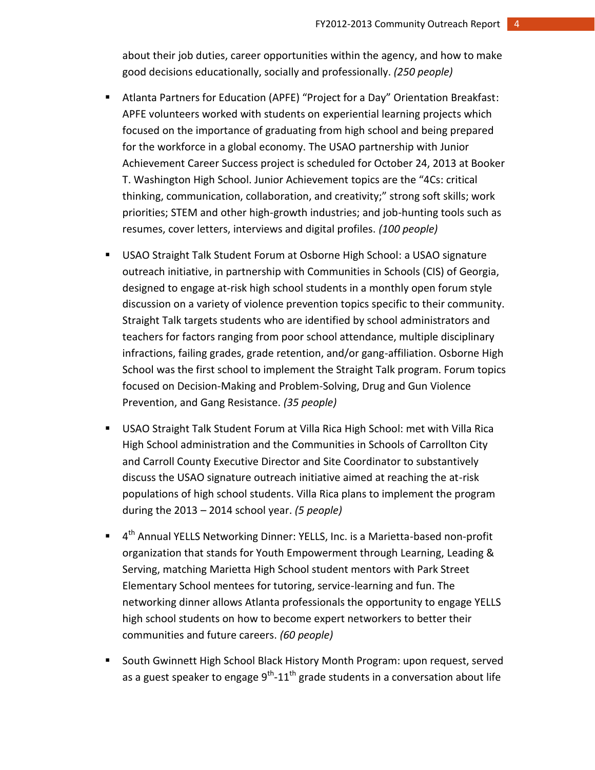about their job duties, career opportunities within the agency, and how to make good decisions educationally, socially and professionally. *(250 people)*

- Atlanta Partners for Education (APFE) "Project for a Day" Orientation Breakfast: APFE volunteers worked with students on experiential learning projects which focused on the importance of graduating from high school and being prepared for the workforce in a global economy. The USAO partnership with Junior Achievement Career Success project is scheduled for October 24, 2013 at Booker T. Washington High School. Junior Achievement topics are the "4Cs: critical thinking, communication, collaboration, and creativity;" strong soft skills; work priorities; STEM and other high-growth industries; and job-hunting tools such as resumes, cover letters, interviews and digital profiles. *(100 people)*
- USAO Straight Talk Student Forum at Osborne High School: a USAO signature outreach initiative, in partnership with Communities in Schools (CIS) of Georgia, designed to engage at-risk high school students in a monthly open forum style discussion on a variety of violence prevention topics specific to their community. Straight Talk targets students who are identified by school administrators and teachers for factors ranging from poor school attendance, multiple disciplinary infractions, failing grades, grade retention, and/or gang-affiliation. Osborne High School was the first school to implement the Straight Talk program. Forum topics focused on Decision-Making and Problem-Solving, Drug and Gun Violence Prevention, and Gang Resistance. *(35 people)*
- USAO Straight Talk Student Forum at Villa Rica High School: met with Villa Rica High School administration and the Communities in Schools of Carrollton City and Carroll County Executive Director and Site Coordinator to substantively discuss the USAO signature outreach initiative aimed at reaching the at-risk populations of high school students. Villa Rica plans to implement the program during the 2013 – 2014 school year. *(5 people)*
- 4<sup>th</sup> Annual YELLS Networking Dinner: YELLS, Inc. is a Marietta-based non-profit organization that stands for Youth Empowerment through Learning, Leading & Serving, matching Marietta High School student mentors with Park Street Elementary School mentees for tutoring, service-learning and fun. The networking dinner allows Atlanta professionals the opportunity to engage YELLS high school students on how to become expert networkers to better their communities and future careers. *(60 people)*
- South Gwinnett High School Black History Month Program: upon request, served as a guest speaker to engage 9<sup>th</sup>-11<sup>th</sup> grade students in a conversation about life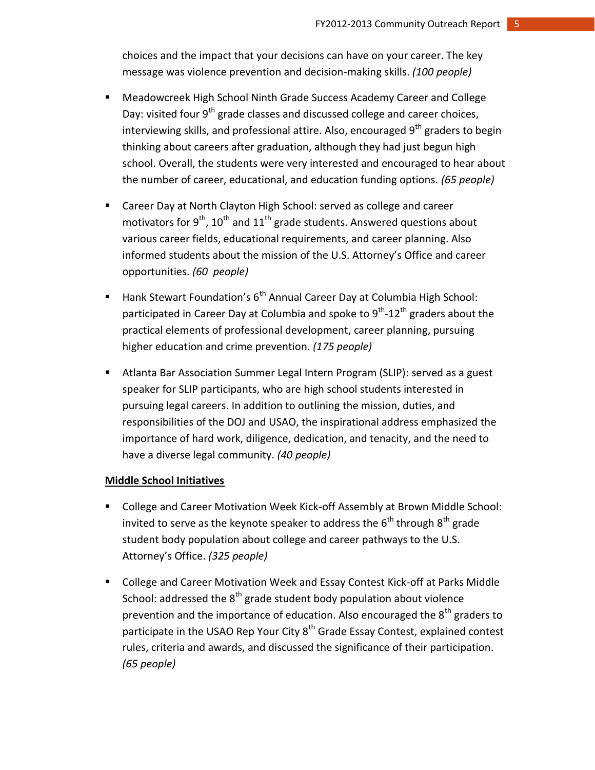choices and the impact that your decisions can have on your career. The key message was violence prevention and decision-making skills. *(100 people)*

- Meadowcreek High School Ninth Grade Success Academy Career and College Day: visited four  $9<sup>th</sup>$  grade classes and discussed college and career choices, interviewing skills, and professional attire. Also, encouraged  $9<sup>th</sup>$  graders to begin thinking about careers after graduation, although they had just begun high school. Overall, the students were very interested and encouraged to hear about the number of career, educational, and education funding options. *(65 people)*
- Career Day at North Clayton High School: served as college and career motivators for  $9^{th}$ , 10<sup>th</sup> and 11<sup>th</sup> grade students. Answered questions about various career fields, educational requirements, and career planning. Also informed students about the mission of the U.S. Attorney's Office and career opportunities. *(60 people)*
- Hank Stewart Foundation's 6<sup>th</sup> Annual Career Day at Columbia High School: participated in Career Day at Columbia and spoke to 9<sup>th</sup>-12<sup>th</sup> graders about the practical elements of professional development, career planning, pursuing higher education and crime prevention. *(175 people)*
- Atlanta Bar Association Summer Legal Intern Program (SLIP): served as a guest speaker for SLIP participants, who are high school students interested in pursuing legal careers. In addition to outlining the mission, duties, and responsibilities of the DOJ and USAO, the inspirational address emphasized the importance of hard work, diligence, dedication, and tenacity, and the need to have a diverse legal community. *(40 people)*

#### **Middle School Initiatives**

- College and Career Motivation Week Kick-off Assembly at Brown Middle School: invited to serve as the keynote speaker to address the  $6<sup>th</sup>$  through  $8<sup>th</sup>$  grade student body population about college and career pathways to the U.S. Attorney's Office. *(325 people)*
- College and Career Motivation Week and Essay Contest Kick-off at Parks Middle School: addressed the  $8<sup>th</sup>$  grade student body population about violence prevention and the importance of education. Also encouraged the  $8<sup>th</sup>$  graders to participate in the USAO Rep Your City  $8<sup>th</sup>$  Grade Essay Contest, explained contest rules, criteria and awards, and discussed the significance of their participation. *(65 people)*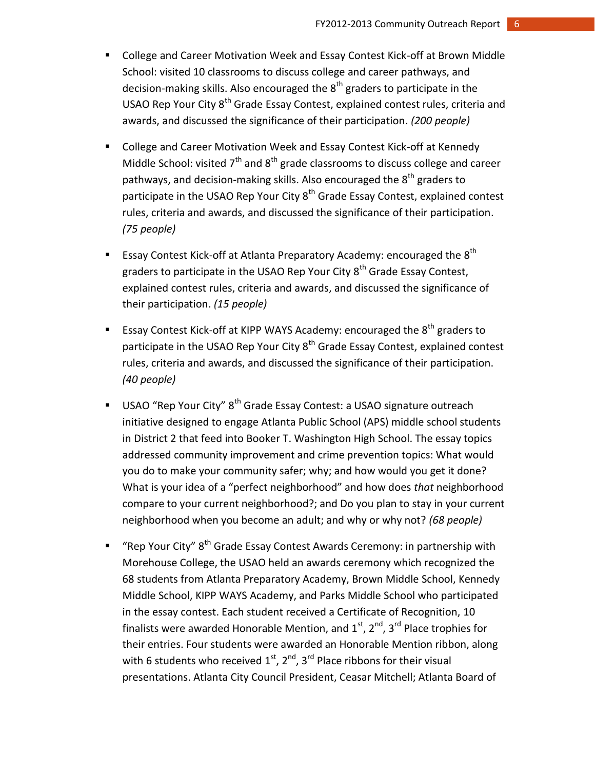- College and Career Motivation Week and Essay Contest Kick-off at Brown Middle School: visited 10 classrooms to discuss college and career pathways, and decision-making skills. Also encouraged the  $8<sup>th</sup>$  graders to participate in the USAO Rep Your City 8<sup>th</sup> Grade Essay Contest, explained contest rules, criteria and awards, and discussed the significance of their participation. *(200 people)*
- College and Career Motivation Week and Essay Contest Kick-off at Kennedy Middle School: visited  $7<sup>th</sup>$  and  $8<sup>th</sup>$  grade classrooms to discuss college and career pathways, and decision-making skills. Also encouraged the  $8<sup>th</sup>$  graders to participate in the USAO Rep Your City  $8<sup>th</sup>$  Grade Essay Contest, explained contest rules, criteria and awards, and discussed the significance of their participation. *(75 people)*
- **Essay Contest Kick-off at Atlanta Preparatory Academy: encouraged the 8<sup>th</sup>** graders to participate in the USAO Rep Your City  $8<sup>th</sup>$  Grade Essay Contest, explained contest rules, criteria and awards, and discussed the significance of their participation. *(15 people)*
- **Essay Contest Kick-off at KIPP WAYS Academy: encouraged the 8<sup>th</sup> graders to** participate in the USAO Rep Your City  $8<sup>th</sup>$  Grade Essay Contest, explained contest rules, criteria and awards, and discussed the significance of their participation. *(40 people)*
- USAO "Rep Your City"  $8<sup>th</sup>$  Grade Essay Contest: a USAO signature outreach initiative designed to engage Atlanta Public School (APS) middle school students in District 2 that feed into Booker T. Washington High School. The essay topics addressed community improvement and crime prevention topics: What would you do to make your community safer; why; and how would you get it done? What is your idea of a "perfect neighborhood" and how does *that* neighborhood compare to your current neighborhood?; and Do you plan to stay in your current neighborhood when you become an adult; and why or why not? *(68 people)*
- "Rep Your City"  $8<sup>th</sup>$  Grade Essay Contest Awards Ceremony: in partnership with Morehouse College, the USAO held an awards ceremony which recognized the 68 students from Atlanta Preparatory Academy, Brown Middle School, Kennedy Middle School, KIPP WAYS Academy, and Parks Middle School who participated in the essay contest. Each student received a Certificate of Recognition, 10 finalists were awarded Honorable Mention, and  $1<sup>st</sup>$ ,  $2<sup>nd</sup>$ ,  $3<sup>rd</sup>$  Place trophies for their entries. Four students were awarded an Honorable Mention ribbon, along with 6 students who received  $1<sup>st</sup>$ ,  $2<sup>nd</sup>$ ,  $3<sup>rd</sup>$  Place ribbons for their visual presentations. Atlanta City Council President, Ceasar Mitchell; Atlanta Board of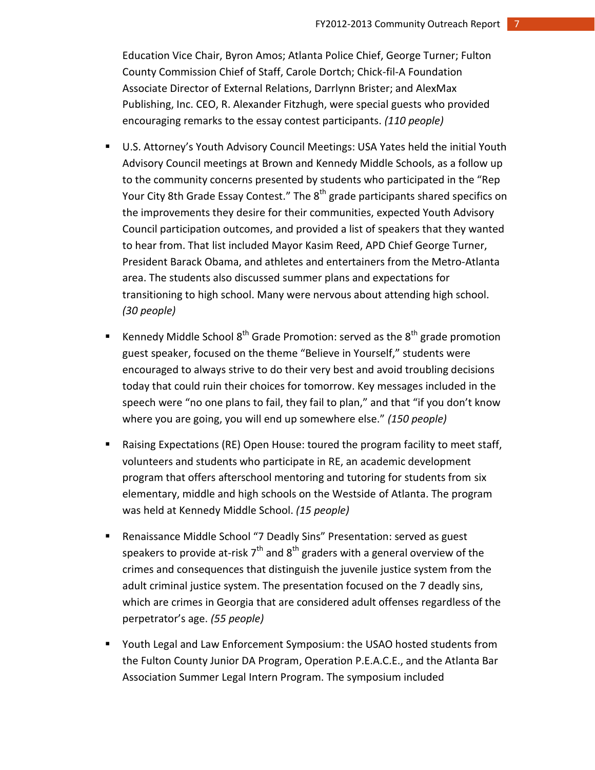Education Vice Chair, Byron Amos; Atlanta Police Chief, George Turner; Fulton County Commission Chief of Staff, Carole Dortch; Chick-fil-A Foundation Associate Director of External Relations, Darrlynn Brister; and AlexMax Publishing, Inc. CEO, R. Alexander Fitzhugh, were special guests who provided encouraging remarks to the essay contest participants. *(110 people)*

- U.S. Attorney's Youth Advisory Council Meetings: USA Yates held the initial Youth Advisory Council meetings at Brown and Kennedy Middle Schools, as a follow up to the community concerns presented by students who participated in the "Rep Your City 8th Grade Essay Contest." The 8<sup>th</sup> grade participants shared specifics on the improvements they desire for their communities, expected Youth Advisory Council participation outcomes, and provided a list of speakers that they wanted to hear from. That list included Mayor Kasim Reed, APD Chief George Turner, President Barack Obama, and athletes and entertainers from the Metro-Atlanta area. The students also discussed summer plans and expectations for transitioning to high school. Many were nervous about attending high school. *(30 people)*
- **Kennedy Middle School 8<sup>th</sup> Grade Promotion: served as the 8<sup>th</sup> grade promotion** guest speaker, focused on the theme "Believe in Yourself," students were encouraged to always strive to do their very best and avoid troubling decisions today that could ruin their choices for tomorrow. Key messages included in the speech were "no one plans to fail, they fail to plan," and that "if you don't know where you are going, you will end up somewhere else." *(150 people)*
- Raising Expectations (RE) Open House: toured the program facility to meet staff, volunteers and students who participate in RE, an academic development program that offers afterschool mentoring and tutoring for students from six elementary, middle and high schools on the Westside of Atlanta. The program was held at Kennedy Middle School. *(15 people)*
- Renaissance Middle School "7 Deadly Sins" Presentation: served as guest speakers to provide at-risk  $7<sup>th</sup>$  and  $8<sup>th</sup>$  graders with a general overview of the crimes and consequences that distinguish the juvenile justice system from the adult criminal justice system. The presentation focused on the 7 deadly sins, which are crimes in Georgia that are considered adult offenses regardless of the perpetrator's age. *(55 people)*
- Youth Legal and Law Enforcement Symposium: the USAO hosted students from the Fulton County Junior DA Program, Operation P.E.A.C.E., and the Atlanta Bar Association Summer Legal Intern Program. The symposium included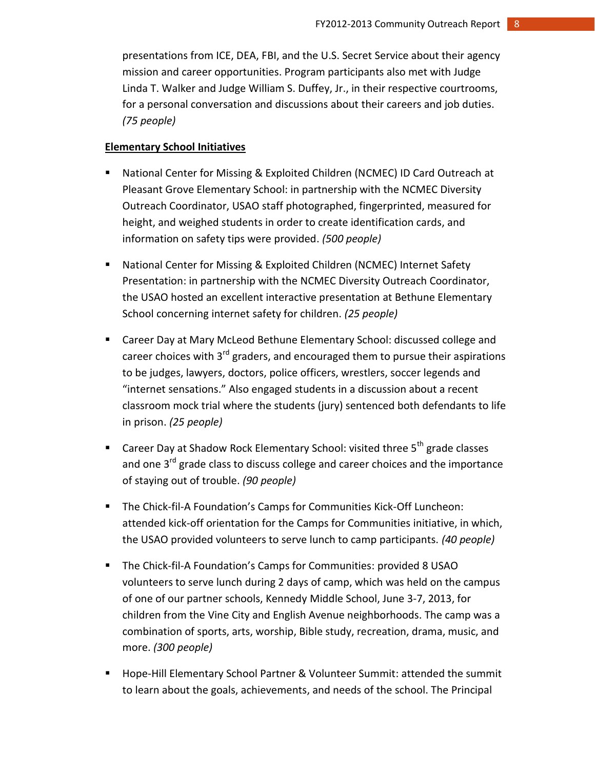presentations from ICE, DEA, FBI, and the U.S. Secret Service about their agency mission and career opportunities. Program participants also met with Judge Linda T. Walker and Judge William S. Duffey, Jr., in their respective courtrooms, for a personal conversation and discussions about their careers and job duties. *(75 people)*

# **Elementary School Initiatives**

- National Center for Missing & Exploited Children (NCMEC) ID Card Outreach at Pleasant Grove Elementary School: in partnership with the NCMEC Diversity Outreach Coordinator, USAO staff photographed, fingerprinted, measured for height, and weighed students in order to create identification cards, and information on safety tips were provided. *(500 people)*
- National Center for Missing & Exploited Children (NCMEC) Internet Safety Presentation: in partnership with the NCMEC Diversity Outreach Coordinator, the USAO hosted an excellent interactive presentation at Bethune Elementary School concerning internet safety for children. *(25 people)*
- **E** Career Day at Mary McLeod Bethune Elementary School: discussed college and career choices with  $3^{rd}$  graders, and encouraged them to pursue their aspirations to be judges, lawyers, doctors, police officers, wrestlers, soccer legends and "internet sensations." Also engaged students in a discussion about a recent classroom mock trial where the students (jury) sentenced both defendants to life in prison. *(25 people)*
- **Career Day at Shadow Rock Elementary School: visited three**  $5<sup>th</sup>$  **grade classes** and one  $3^{rd}$  grade class to discuss college and career choices and the importance of staying out of trouble. *(90 people)*
- **The Chick-fil-A Foundation's Camps for Communities Kick-Off Luncheon:** attended kick-off orientation for the Camps for Communities initiative, in which, the USAO provided volunteers to serve lunch to camp participants. *(40 people)*
- **The Chick-fil-A Foundation's Camps for Communities: provided 8 USAO** volunteers to serve lunch during 2 days of camp, which was held on the campus of one of our partner schools, Kennedy Middle School, June 3-7, 2013, for children from the Vine City and English Avenue neighborhoods. The camp was a combination of sports, arts, worship, Bible study, recreation, drama, music, and more. *(300 people)*
- **Hope-Hill Elementary School Partner & Volunteer Summit: attended the summit** to learn about the goals, achievements, and needs of the school. The Principal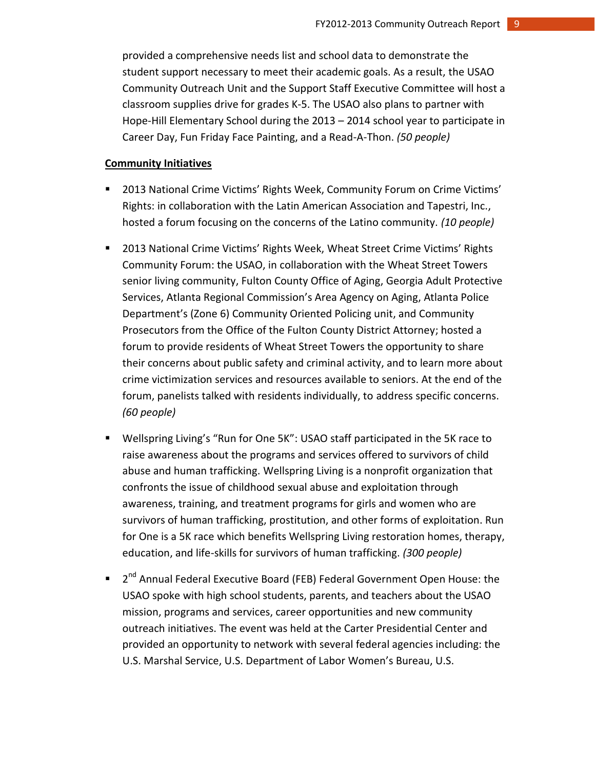provided a comprehensive needs list and school data to demonstrate the student support necessary to meet their academic goals. As a result, the USAO Community Outreach Unit and the Support Staff Executive Committee will host a classroom supplies drive for grades K-5. The USAO also plans to partner with Hope-Hill Elementary School during the 2013 – 2014 school year to participate in Career Day, Fun Friday Face Painting, and a Read-A-Thon. *(50 people)*

#### **Community Initiatives**

- 2013 National Crime Victims' Rights Week, Community Forum on Crime Victims' Rights: in collaboration with the Latin American Association and Tapestri, Inc., hosted a forum focusing on the concerns of the Latino community. *(10 people)*
- **2013 National Crime Victims' Rights Week, Wheat Street Crime Victims' Rights** Community Forum: the USAO, in collaboration with the Wheat Street Towers senior living community, Fulton County Office of Aging, Georgia Adult Protective Services, Atlanta Regional Commission's Area Agency on Aging, Atlanta Police Department's (Zone 6) Community Oriented Policing unit, and Community Prosecutors from the Office of the Fulton County District Attorney; hosted a forum to provide residents of Wheat Street Towers the opportunity to share their concerns about public safety and criminal activity, and to learn more about crime victimization services and resources available to seniors. At the end of the forum, panelists talked with residents individually, to address specific concerns. *(60 people)*
- Wellspring Living's "Run for One 5K": USAO staff participated in the 5K race to raise awareness about the programs and services offered to survivors of child abuse and human trafficking. Wellspring Living is a nonprofit organization that confronts the issue of childhood sexual abuse and exploitation through awareness, training, and treatment programs for girls and women who are survivors of human trafficking, prostitution, and other forms of exploitation. Run for One is a 5K race which benefits Wellspring Living restoration homes, therapy, education, and life-skills for survivors of human trafficking. *(300 people)*
- 2<sup>nd</sup> Annual Federal Executive Board (FEB) Federal Government Open House: the USAO spoke with high school students, parents, and teachers about the USAO mission, programs and services, career opportunities and new community outreach initiatives. The event was held at the Carter Presidential Center and provided an opportunity to network with several federal agencies including: the U.S. Marshal Service, U.S. Department of Labor Women's Bureau, U.S.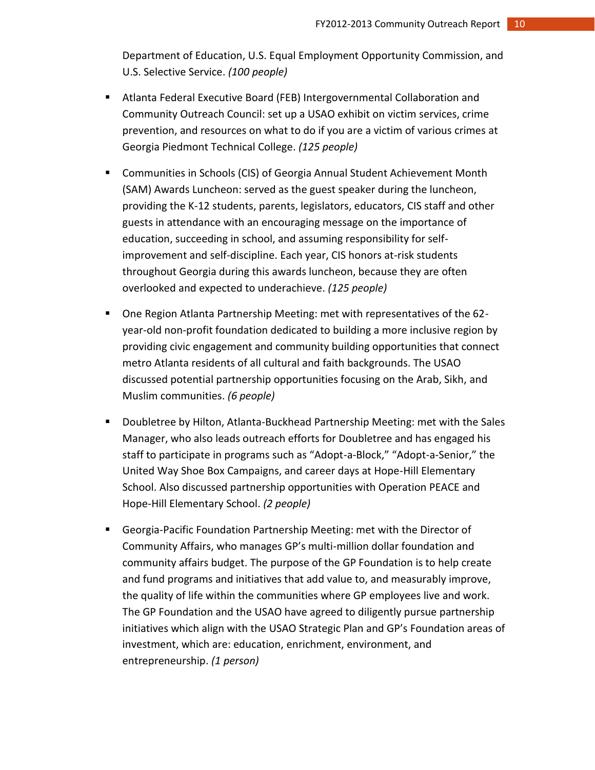Department of Education, U.S. Equal Employment Opportunity Commission, and U.S. Selective Service. *(100 people)*

- Atlanta Federal Executive Board (FEB) Intergovernmental Collaboration and Community Outreach Council: set up a USAO exhibit on victim services, crime prevention, and resources on what to do if you are a victim of various crimes at Georgia Piedmont Technical College. *(125 people)*
- Communities in Schools (CIS) of Georgia Annual Student Achievement Month (SAM) Awards Luncheon: served as the guest speaker during the luncheon, providing the K-12 students, parents, legislators, educators, CIS staff and other guests in attendance with an encouraging message on the importance of education, succeeding in school, and assuming responsibility for selfimprovement and self-discipline. Each year, CIS honors at-risk students throughout Georgia during this awards luncheon, because they are often overlooked and expected to underachieve. *(125 people)*
- One Region Atlanta Partnership Meeting: met with representatives of the 62 year-old non-profit foundation dedicated to building a more inclusive region by providing civic engagement and community building opportunities that connect metro Atlanta residents of all cultural and faith backgrounds. The USAO discussed potential partnership opportunities focusing on the Arab, Sikh, and Muslim communities. *(6 people)*
- Doubletree by Hilton, Atlanta-Buckhead Partnership Meeting: met with the Sales Manager, who also leads outreach efforts for Doubletree and has engaged his staff to participate in programs such as "Adopt-a-Block," "Adopt-a-Senior," the United Way Shoe Box Campaigns, and career days at Hope-Hill Elementary School. Also discussed partnership opportunities with Operation PEACE and Hope-Hill Elementary School. *(2 people)*
- Georgia-Pacific Foundation Partnership Meeting: met with the Director of Community Affairs, who manages GP's multi-million dollar foundation and community affairs budget. The purpose of the GP Foundation is to help create and fund programs and initiatives that add value to, and measurably improve, the quality of life within the communities where GP employees live and work. The GP Foundation and the USAO have agreed to diligently pursue partnership initiatives which align with the USAO Strategic Plan and GP's Foundation areas of investment, which are: education, enrichment, environment, and entrepreneurship. *(1 person)*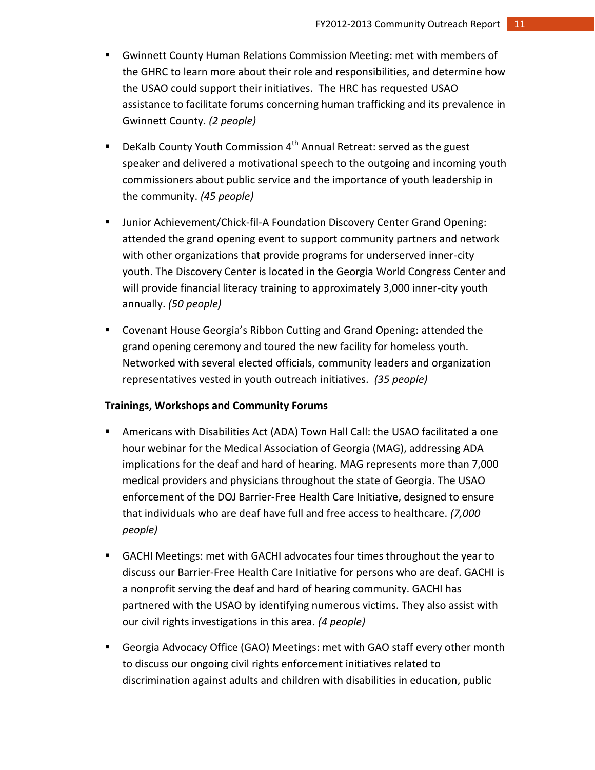- Gwinnett County Human Relations Commission Meeting: met with members of the GHRC to learn more about their role and responsibilities, and determine how the USAO could support their initiatives. The HRC has requested USAO assistance to facilitate forums concerning human trafficking and its prevalence in Gwinnett County. *(2 people)*
- **•** DeKalb County Youth Commission  $4<sup>th</sup>$  Annual Retreat: served as the guest speaker and delivered a motivational speech to the outgoing and incoming youth commissioners about public service and the importance of youth leadership in the community. *(45 people)*
- Junior Achievement/Chick-fil-A Foundation Discovery Center Grand Opening: attended the grand opening event to support community partners and network with other organizations that provide programs for underserved inner-city youth. The Discovery Center is located in the Georgia World Congress Center and will provide financial literacy training to approximately 3,000 inner-city youth annually. *(50 people)*
- Covenant House Georgia's Ribbon Cutting and Grand Opening: attended the grand opening ceremony and toured the new facility for homeless youth. Networked with several elected officials, community leaders and organization representatives vested in youth outreach initiatives. *(35 people)*

## **Trainings, Workshops and Community Forums**

- Americans with Disabilities Act (ADA) Town Hall Call: the USAO facilitated a one hour webinar for the Medical Association of Georgia (MAG), addressing ADA implications for the deaf and hard of hearing. MAG represents more than 7,000 medical providers and physicians throughout the state of Georgia. The USAO enforcement of the DOJ Barrier-Free Health Care Initiative, designed to ensure that individuals who are deaf have full and free access to healthcare. *(7,000 people)*
- GACHI Meetings: met with GACHI advocates four times throughout the year to discuss our Barrier-Free Health Care Initiative for persons who are deaf. GACHI is a nonprofit serving the deaf and hard of hearing community. GACHI has partnered with the USAO by identifying numerous victims. They also assist with our civil rights investigations in this area. *(4 people)*
- Georgia Advocacy Office (GAO) Meetings: met with GAO staff every other month to discuss our ongoing civil rights enforcement initiatives related to discrimination against adults and children with disabilities in education, public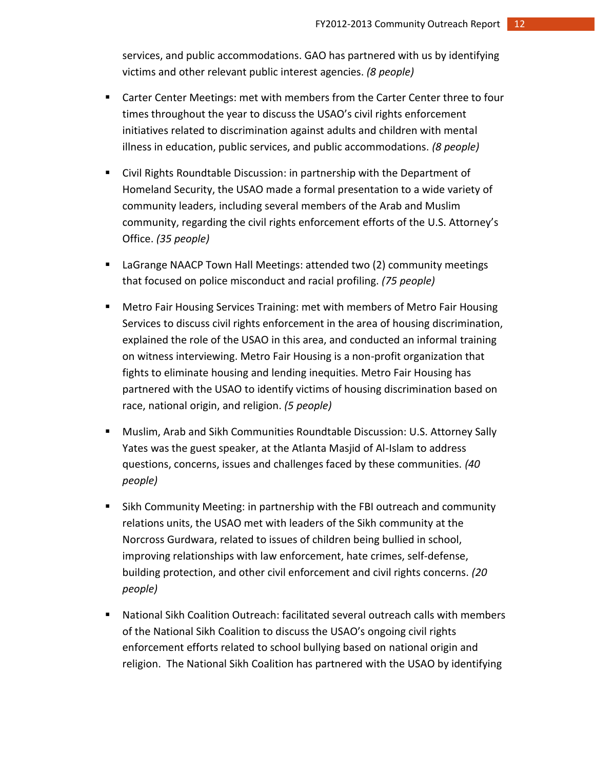services, and public accommodations. GAO has partnered with us by identifying victims and other relevant public interest agencies. *(8 people)*

- Carter Center Meetings: met with members from the Carter Center three to four times throughout the year to discuss the USAO's civil rights enforcement initiatives related to discrimination against adults and children with mental illness in education, public services, and public accommodations. *(8 people)*
- Civil Rights Roundtable Discussion: in partnership with the Department of Homeland Security, the USAO made a formal presentation to a wide variety of community leaders, including several members of the Arab and Muslim community, regarding the civil rights enforcement efforts of the U.S. Attorney's Office. *(35 people)*
- LaGrange NAACP Town Hall Meetings: attended two (2) community meetings that focused on police misconduct and racial profiling. *(75 people)*
- Metro Fair Housing Services Training: met with members of Metro Fair Housing Services to discuss civil rights enforcement in the area of housing discrimination, explained the role of the USAO in this area, and conducted an informal training on witness interviewing. Metro Fair Housing is a non-profit organization that fights to eliminate housing and lending inequities. Metro Fair Housing has partnered with the USAO to identify victims of housing discrimination based on race, national origin, and religion. *(5 people)*
- Muslim, Arab and Sikh Communities Roundtable Discussion: U.S. Attorney Sally Yates was the guest speaker, at the Atlanta Masjid of Al-Islam to address questions, concerns, issues and challenges faced by these communities. *(40 people)*
- Sikh Community Meeting: in partnership with the FBI outreach and community relations units, the USAO met with leaders of the Sikh community at the Norcross Gurdwara, related to issues of children being bullied in school, improving relationships with law enforcement, hate crimes, self-defense, building protection, and other civil enforcement and civil rights concerns. *(20 people)*
- National Sikh Coalition Outreach: facilitated several outreach calls with members of the National Sikh Coalition to discuss the USAO's ongoing civil rights enforcement efforts related to school bullying based on national origin and religion. The National Sikh Coalition has partnered with the USAO by identifying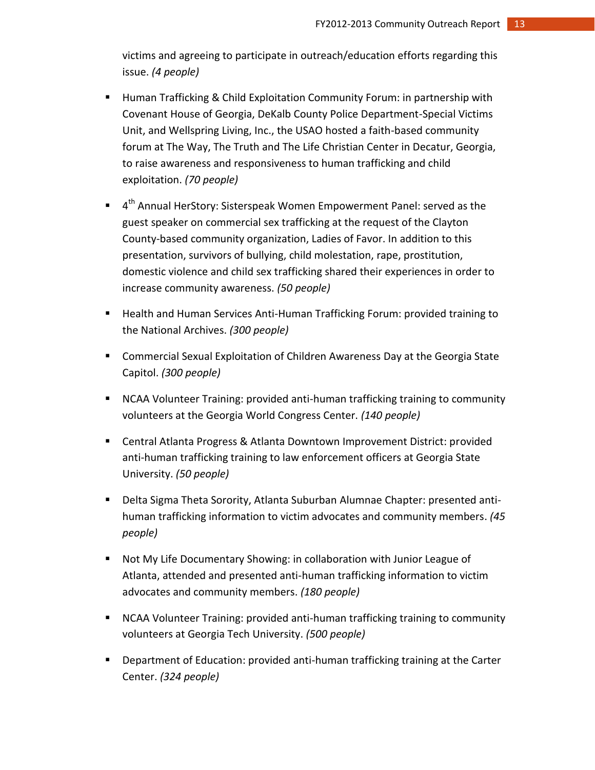victims and agreeing to participate in outreach/education efforts regarding this issue. *(4 people)*

- Human Trafficking & Child Exploitation Community Forum: in partnership with Covenant House of Georgia, DeKalb County Police Department-Special Victims Unit, and Wellspring Living, Inc., the USAO hosted a faith-based community forum at The Way, The Truth and The Life Christian Center in Decatur, Georgia, to raise awareness and responsiveness to human trafficking and child exploitation. *(70 people)*
- 4<sup>th</sup> Annual HerStory: Sisterspeak Women Empowerment Panel: served as the guest speaker on commercial sex trafficking at the request of the Clayton County-based community organization, Ladies of Favor. In addition to this presentation, survivors of bullying, child molestation, rape, prostitution, domestic violence and child sex trafficking shared their experiences in order to increase community awareness. *(50 people)*
- **Health and Human Services Anti-Human Trafficking Forum: provided training to** the National Archives. *(300 people)*
- Commercial Sexual Exploitation of Children Awareness Day at the Georgia State Capitol. *(300 people)*
- NCAA Volunteer Training: provided anti-human trafficking training to community volunteers at the Georgia World Congress Center. *(140 people)*
- Central Atlanta Progress & Atlanta Downtown Improvement District: provided anti-human trafficking training to law enforcement officers at Georgia State University. *(50 people)*
- Delta Sigma Theta Sorority, Atlanta Suburban Alumnae Chapter: presented antihuman trafficking information to victim advocates and community members. *(45 people)*
- Not My Life Documentary Showing: in collaboration with Junior League of Atlanta, attended and presented anti-human trafficking information to victim advocates and community members. *(180 people)*
- NCAA Volunteer Training: provided anti-human trafficking training to community volunteers at Georgia Tech University. *(500 people)*
- Department of Education: provided anti-human trafficking training at the Carter Center. *(324 people)*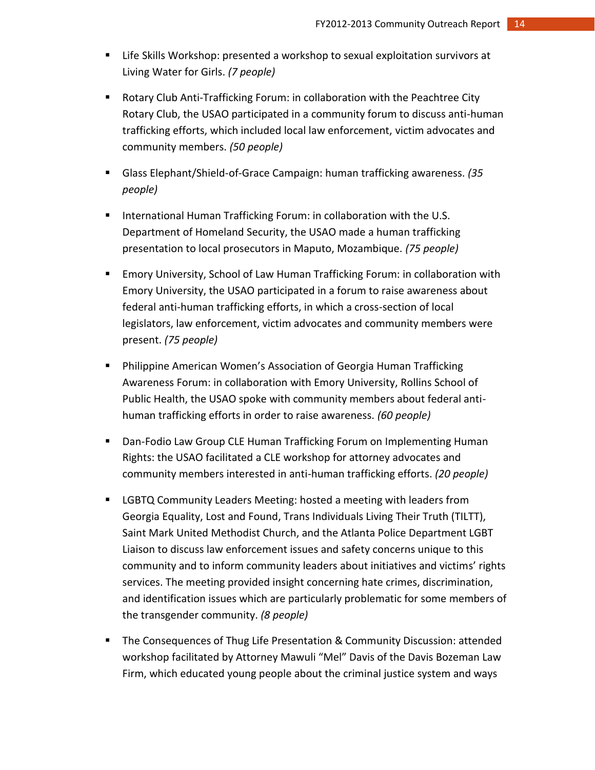- Life Skills Workshop: presented a workshop to sexual exploitation survivors at Living Water for Girls. *(7 people)*
- Rotary Club Anti-Trafficking Forum: in collaboration with the Peachtree City Rotary Club, the USAO participated in a community forum to discuss anti-human trafficking efforts, which included local law enforcement, victim advocates and community members. *(50 people)*
- Glass Elephant/Shield-of-Grace Campaign: human trafficking awareness. *(35 people)*
- **International Human Trafficking Forum: in collaboration with the U.S.** Department of Homeland Security, the USAO made a human trafficking presentation to local prosecutors in Maputo, Mozambique. *(75 people)*
- Emory University, School of Law Human Trafficking Forum: in collaboration with Emory University, the USAO participated in a forum to raise awareness about federal anti-human trafficking efforts, in which a cross-section of local legislators, law enforcement, victim advocates and community members were present. *(75 people)*
- **Philippine American Women's Association of Georgia Human Trafficking** Awareness Forum: in collaboration with Emory University, Rollins School of Public Health, the USAO spoke with community members about federal antihuman trafficking efforts in order to raise awareness. *(60 people)*
- **Dan-Fodio Law Group CLE Human Trafficking Forum on Implementing Human** Rights: the USAO facilitated a CLE workshop for attorney advocates and community members interested in anti-human trafficking efforts. *(20 people)*
- **EXECT** Community Leaders Meeting: hosted a meeting with leaders from Georgia Equality, Lost and Found, Trans Individuals Living Their Truth (TILTT), Saint Mark United Methodist Church, and the Atlanta Police Department LGBT Liaison to discuss law enforcement issues and safety concerns unique to this community and to inform community leaders about initiatives and victims' rights services. The meeting provided insight concerning hate crimes, discrimination, and identification issues which are particularly problematic for some members of the transgender community. *(8 people)*
- **The Consequences of Thug Life Presentation & Community Discussion: attended** workshop facilitated by Attorney Mawuli "Mel" Davis of the Davis Bozeman Law Firm, which educated young people about the criminal justice system and ways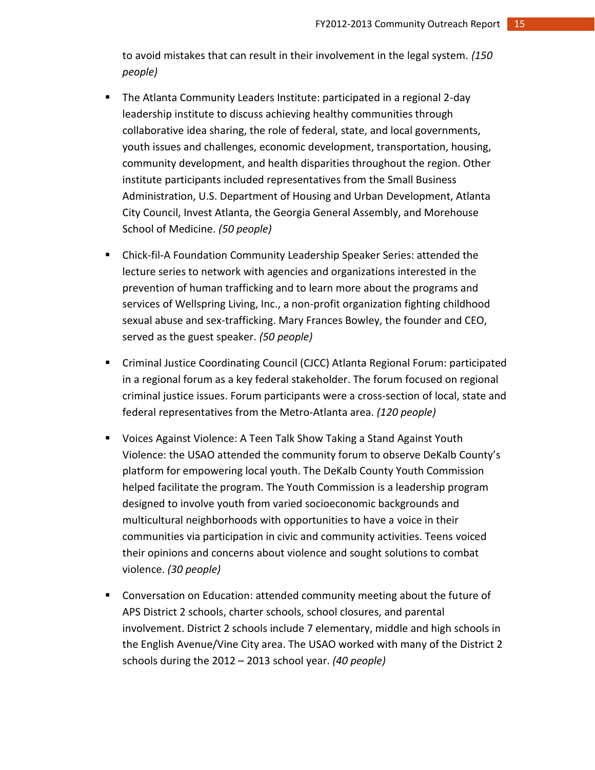to avoid mistakes that can result in their involvement in the legal system. *(150 people)*

- The Atlanta Community Leaders Institute: participated in a regional 2-day leadership institute to discuss achieving healthy communities through collaborative idea sharing, the role of federal, state, and local governments, youth issues and challenges, economic development, transportation, housing, community development, and health disparities throughout the region. Other institute participants included representatives from the Small Business Administration, U.S. Department of Housing and Urban Development, Atlanta City Council, Invest Atlanta, the Georgia General Assembly, and Morehouse School of Medicine. *(50 people)*
- Chick-fil-A Foundation Community Leadership Speaker Series: attended the lecture series to network with agencies and organizations interested in the prevention of human trafficking and to learn more about the programs and services of Wellspring Living, Inc., a non-profit organization fighting childhood sexual abuse and sex-trafficking. Mary Frances Bowley, the founder and CEO, served as the guest speaker. *(50 people)*
- Criminal Justice Coordinating Council (CJCC) Atlanta Regional Forum: participated in a regional forum as a key federal stakeholder. The forum focused on regional criminal justice issues. Forum participants were a cross-section of local, state and federal representatives from the Metro-Atlanta area. *(120 people)*
- Voices Against Violence: A Teen Talk Show Taking a Stand Against Youth Violence: the USAO attended the community forum to observe DeKalb County's platform for empowering local youth. The DeKalb County Youth Commission helped facilitate the program. The Youth Commission is a leadership program designed to involve youth from varied socioeconomic backgrounds and multicultural neighborhoods with opportunities to have a voice in their communities via participation in civic and community activities. Teens voiced their opinions and concerns about violence and sought solutions to combat violence. *(30 people)*
- Conversation on Education: attended community meeting about the future of APS District 2 schools, charter schools, school closures, and parental involvement. District 2 schools include 7 elementary, middle and high schools in the English Avenue/Vine City area. The USAO worked with many of the District 2 schools during the 2012 – 2013 school year. *(40 people)*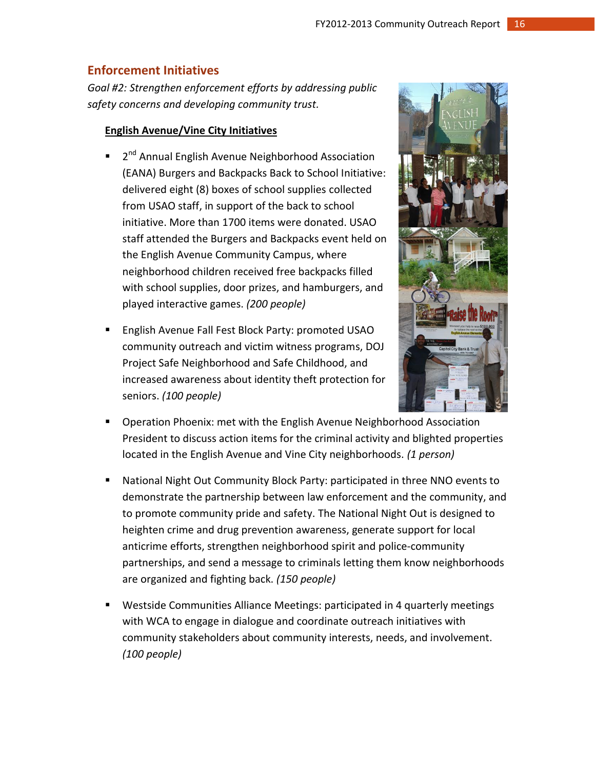# **Enforcement Initiatives**

*Goal #2: Strengthen enforcement efforts by addressing public safety concerns and developing community trust.*

# **English Avenue/Vine City Initiatives**

- 2<sup>nd</sup> Annual English Avenue Neighborhood Association (EANA) Burgers and Backpacks Back to School Initiative: delivered eight (8) boxes of school supplies collected from USAO staff, in support of the back to school initiative. More than 1700 items were donated. USAO staff attended the Burgers and Backpacks event held on the English Avenue Community Campus, where neighborhood children received free backpacks filled with school supplies, door prizes, and hamburgers, and played interactive games. *(200 people)*
- English Avenue Fall Fest Block Party: promoted USAO community outreach and victim witness programs, DOJ Project Safe Neighborhood and Safe Childhood, and increased awareness about identity theft protection for seniors. *(100 people)*



- **Dearation Phoenix: met with the English Avenue Neighborhood Association** President to discuss action items for the criminal activity and blighted properties located in the English Avenue and Vine City neighborhoods. *(1 person)*
- National Night Out Community Block Party: participated in three NNO events to demonstrate the partnership between law enforcement and the community, and to promote community pride and safety. The National Night Out is designed to heighten crime and drug prevention awareness, generate support for local anticrime efforts, strengthen neighborhood spirit and police-community partnerships, and send a message to criminals letting them know neighborhoods are organized and fighting back. *(150 people)*
- Westside Communities Alliance Meetings: participated in 4 quarterly meetings with WCA to engage in dialogue and coordinate outreach initiatives with community stakeholders about community interests, needs, and involvement. *(100 people)*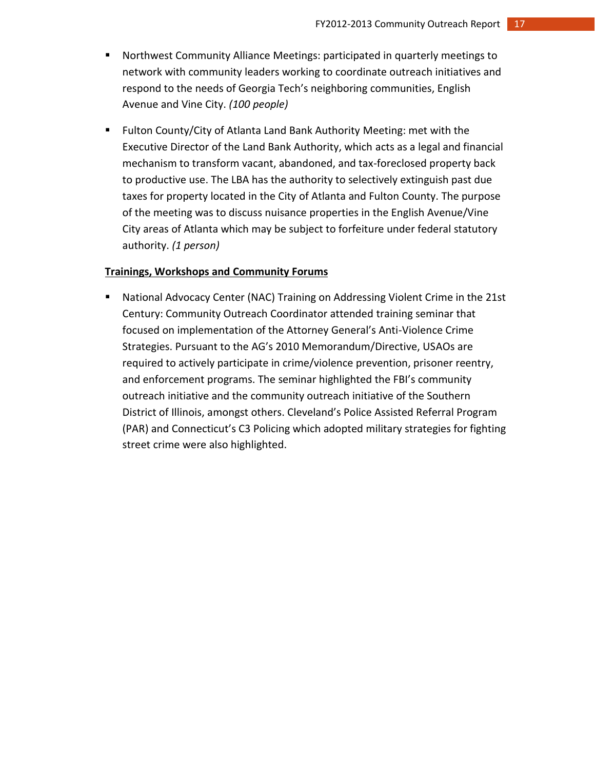- Northwest Community Alliance Meetings: participated in quarterly meetings to network with community leaders working to coordinate outreach initiatives and respond to the needs of Georgia Tech's neighboring communities, English Avenue and Vine City. *(100 people)*
- Fulton County/City of Atlanta Land Bank Authority Meeting: met with the Executive Director of the Land Bank Authority, which acts as a legal and financial mechanism to transform vacant, abandoned, and tax-foreclosed property back to productive use. The LBA has the authority to selectively extinguish past due taxes for property located in the City of Atlanta and Fulton County. The purpose of the meeting was to discuss nuisance properties in the English Avenue/Vine City areas of Atlanta which may be subject to forfeiture under federal statutory authority. *(1 person)*

#### **Trainings, Workshops and Community Forums**

 National Advocacy Center (NAC) Training on Addressing Violent Crime in the 21st Century: Community Outreach Coordinator attended training seminar that focused on implementation of the Attorney General's Anti-Violence Crime Strategies. Pursuant to the AG's 2010 Memorandum/Directive, USAOs are required to actively participate in crime/violence prevention, prisoner reentry, and enforcement programs. The seminar highlighted the FBI's community outreach initiative and the community outreach initiative of the Southern District of Illinois, amongst others. Cleveland's Police Assisted Referral Program (PAR) and Connecticut's C3 Policing which adopted military strategies for fighting street crime were also highlighted.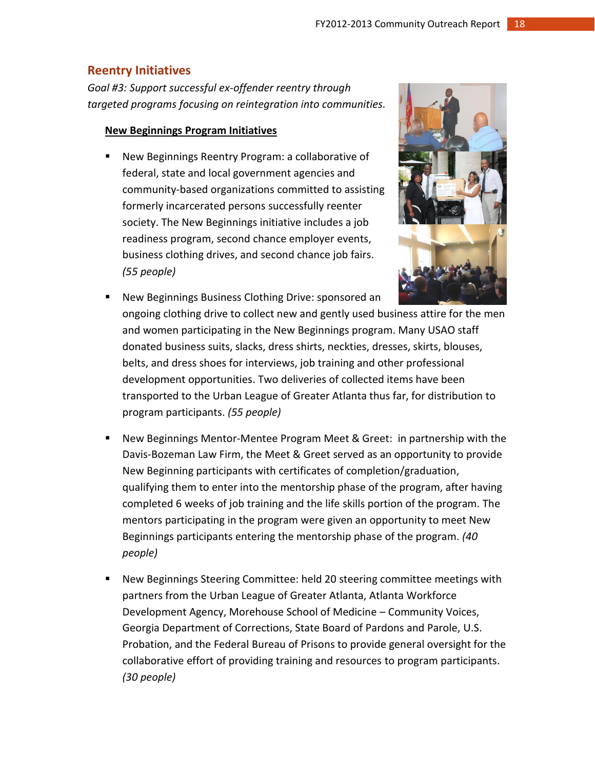# **Reentry Initiatives**

*Goal #3: Support successful ex-offender reentry through targeted programs focusing on reintegration into communities.*

# **New Beginnings Program Initiatives**

 New Beginnings Reentry Program: a collaborative of federal, state and local government agencies and community-based organizations committed to assisting formerly incarcerated persons successfully reenter society. The New Beginnings initiative includes a job readiness program, second chance employer events, business clothing drives, and second chance job fairs. *(55 people)*



- New Beginnings Business Clothing Drive: sponsored an ongoing clothing drive to collect new and gently used business attire for the men and women participating in the New Beginnings program. Many USAO staff donated business suits, slacks, dress shirts, neckties, dresses, skirts, blouses, belts, and dress shoes for interviews, job training and other professional development opportunities. Two deliveries of collected items have been transported to the Urban League of Greater Atlanta thus far, for distribution to program participants. *(55 people)*
- New Beginnings Mentor-Mentee Program Meet & Greet: in partnership with the Davis-Bozeman Law Firm, the Meet & Greet served as an opportunity to provide New Beginning participants with certificates of completion/graduation, qualifying them to enter into the mentorship phase of the program, after having completed 6 weeks of job training and the life skills portion of the program. The mentors participating in the program were given an opportunity to meet New Beginnings participants entering the mentorship phase of the program. *(40 people)*
- New Beginnings Steering Committee: held 20 steering committee meetings with partners from the Urban League of Greater Atlanta, Atlanta Workforce Development Agency, Morehouse School of Medicine – Community Voices, Georgia Department of Corrections, State Board of Pardons and Parole, U.S. Probation, and the Federal Bureau of Prisons to provide general oversight for the collaborative effort of providing training and resources to program participants. *(30 people)*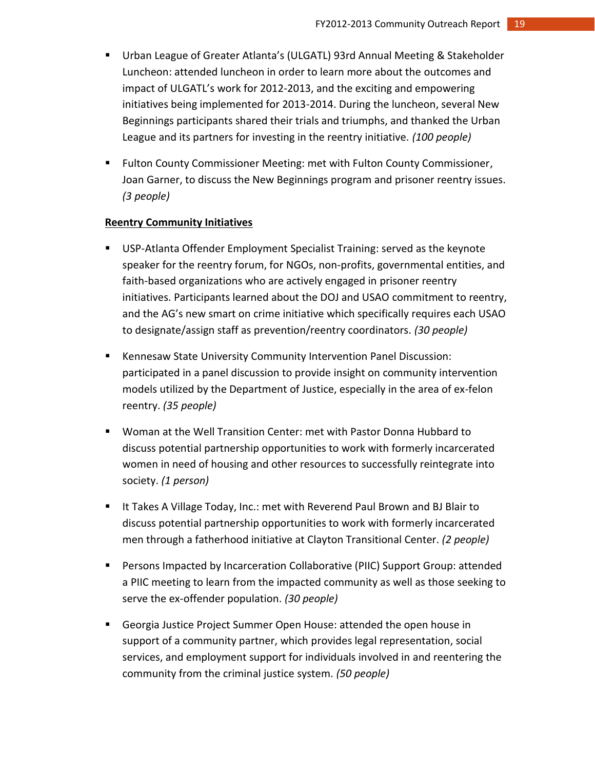- Urban League of Greater Atlanta's (ULGATL) 93rd Annual Meeting & Stakeholder Luncheon: attended luncheon in order to learn more about the outcomes and impact of ULGATL's work for 2012-2013, and the exciting and empowering initiatives being implemented for 2013-2014. During the luncheon, several New Beginnings participants shared their trials and triumphs, and thanked the Urban League and its partners for investing in the reentry initiative. *(100 people)*
- Fulton County Commissioner Meeting: met with Fulton County Commissioner, Joan Garner, to discuss the New Beginnings program and prisoner reentry issues. *(3 people)*

# **Reentry Community Initiatives**

- USP-Atlanta Offender Employment Specialist Training: served as the keynote speaker for the reentry forum, for NGOs, non-profits, governmental entities, and faith-based organizations who are actively engaged in prisoner reentry initiatives. Participants learned about the DOJ and USAO commitment to reentry, and the AG's new smart on crime initiative which specifically requires each USAO to designate/assign staff as prevention/reentry coordinators. *(30 people)*
- Kennesaw State University Community Intervention Panel Discussion: participated in a panel discussion to provide insight on community intervention models utilized by the Department of Justice, especially in the area of ex-felon reentry. *(35 people)*
- Woman at the Well Transition Center: met with Pastor Donna Hubbard to discuss potential partnership opportunities to work with formerly incarcerated women in need of housing and other resources to successfully reintegrate into society. *(1 person)*
- If Takes A Village Today, Inc.: met with Reverend Paul Brown and BJ Blair to discuss potential partnership opportunities to work with formerly incarcerated men through a fatherhood initiative at Clayton Transitional Center. *(2 people)*
- Persons Impacted by Incarceration Collaborative (PIIC) Support Group: attended a PIIC meeting to learn from the impacted community as well as those seeking to serve the ex-offender population. *(30 people)*
- Georgia Justice Project Summer Open House: attended the open house in support of a community partner, which provides legal representation, social services, and employment support for individuals involved in and reentering the community from the criminal justice system. *(50 people)*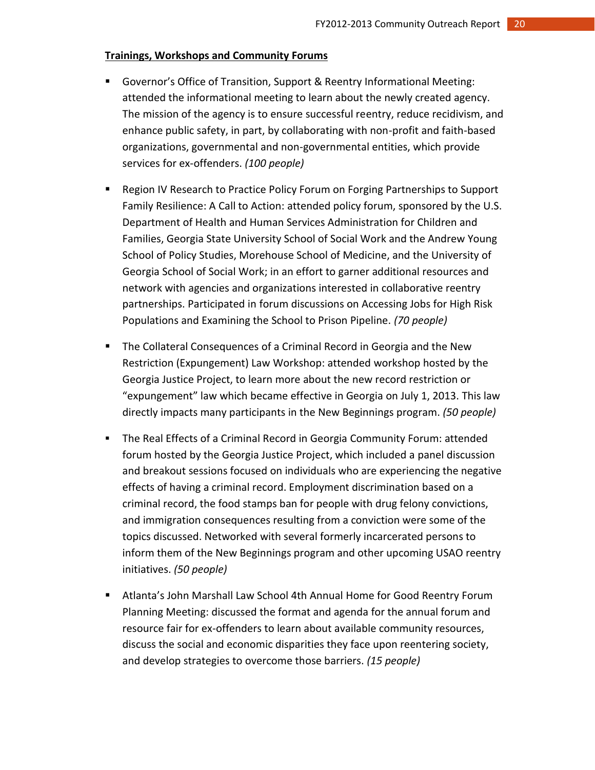# **Trainings, Workshops and Community Forums**

- Governor's Office of Transition, Support & Reentry Informational Meeting: attended the informational meeting to learn about the newly created agency. The mission of the agency is to ensure successful reentry, reduce recidivism, and enhance public safety, in part, by collaborating with non-profit and faith-based organizations, governmental and non-governmental entities, which provide services for ex-offenders. *(100 people)*
- **EXEL A** Region IV Research to Practice Policy Forum on Forging Partnerships to Support Family Resilience: A Call to Action: attended policy forum, sponsored by the U.S. Department of Health and Human Services Administration for Children and Families, Georgia State University School of Social Work and the Andrew Young School of Policy Studies, Morehouse School of Medicine, and the University of Georgia School of Social Work; in an effort to garner additional resources and network with agencies and organizations interested in collaborative reentry partnerships. Participated in forum discussions on Accessing Jobs for High Risk Populations and Examining the School to Prison Pipeline. *(70 people)*
- **The Collateral Consequences of a Criminal Record in Georgia and the New** Restriction (Expungement) Law Workshop: attended workshop hosted by the Georgia Justice Project, to learn more about the new record restriction or "expungement" law which became effective in Georgia on July 1, 2013. This law directly impacts many participants in the New Beginnings program. *(50 people)*
- The Real Effects of a Criminal Record in Georgia Community Forum: attended forum hosted by the Georgia Justice Project, which included a panel discussion and breakout sessions focused on individuals who are experiencing the negative effects of having a criminal record. Employment discrimination based on a criminal record, the food stamps ban for people with drug felony convictions, and immigration consequences resulting from a conviction were some of the topics discussed. Networked with several formerly incarcerated persons to inform them of the New Beginnings program and other upcoming USAO reentry initiatives. *(50 people)*
- Atlanta's John Marshall Law School 4th Annual Home for Good Reentry Forum Planning Meeting: discussed the format and agenda for the annual forum and resource fair for ex-offenders to learn about available community resources, discuss the social and economic disparities they face upon reentering society, and develop strategies to overcome those barriers. *(15 people)*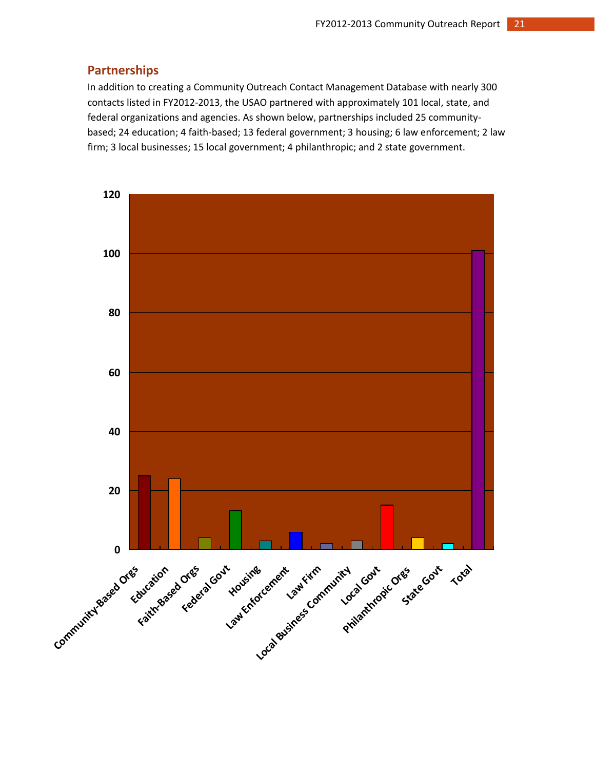# **Partnerships**

In addition to creating a Community Outreach Contact Management Database with nearly 300 contacts listed in FY2012-2013, the USAO partnered with approximately 101 local, state, and federal organizations and agencies. As shown below, partnerships included 25 communitybased; 24 education; 4 faith-based; 13 federal government; 3 housing; 6 law enforcement; 2 law firm; 3 local businesses; 15 local government; 4 philanthropic; and 2 state government.